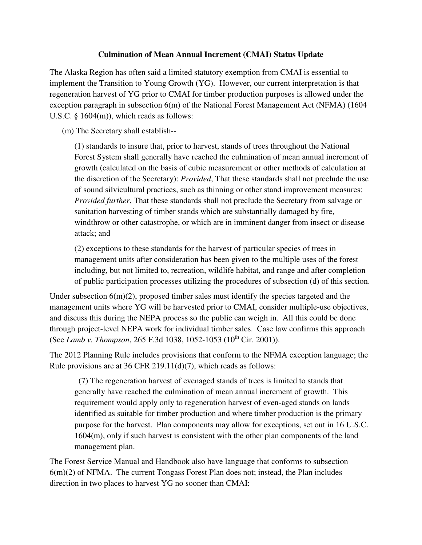## **Culmination of Mean Annual Increment (CMAI) Status Update**

The Alaska Region has often said a limited statutory exemption from CMAI is essential to implement the Transition to Young Growth (YG). However, our current interpretation is that regeneration harvest of YG prior to CMAI for timber production purposes is allowed under the exception paragraph in subsection 6(m) of the National Forest Management Act (NFMA) (1604 U.S.C. § 1604(m)), which reads as follows:

(m) The Secretary shall establish--

(1) standards to insure that, prior to harvest, stands of trees throughout the National Forest System shall generally have reached the culmination of mean annual increment of growth (calculated on the basis of cubic measurement or other methods of calculation at the discretion of the Secretary): *Provided*, That these standards shall not preclude the use of sound silvicultural practices, such as thinning or other stand improvement measures: *Provided further*, That these standards shall not preclude the Secretary from salvage or sanitation harvesting of timber stands which are substantially damaged by fire, windthrow or other catastrophe, or which are in imminent danger from insect or disease attack; and

(2) exceptions to these standards for the harvest of particular species of trees in management units after consideration has been given to the multiple uses of the forest including, but not limited to, recreation, wildlife habitat, and range and after completion of public participation processes utilizing the procedures of subsection (d) of this section.

Under subsection  $6(m)(2)$ , proposed timber sales must identify the species targeted and the management units where YG will be harvested prior to CMAI, consider multiple-use objectives, and discuss this during the NEPA process so the public can weigh in. All this could be done through project-level NEPA work for individual timber sales. Case law confirms this approach (See *Lamb v. Thompson*, 265 F.3d 1038, 1052-1053 (10<sup>th</sup> Cir. 2001)).

The 2012 Planning Rule includes provisions that conform to the NFMA exception language; the Rule provisions are at 36 CFR 219.11(d)(7), which reads as follows:

 (7) The regeneration harvest of evenaged stands of trees is limited to stands that generally have reached the culmination of mean annual increment of growth. This requirement would apply only to regeneration harvest of even-aged stands on lands identified as suitable for timber production and where timber production is the primary purpose for the harvest. Plan components may allow for exceptions, set out in 16 U.S.C. 1604(m), only if such harvest is consistent with the other plan components of the land management plan.

The Forest Service Manual and Handbook also have language that conforms to subsection 6(m)(2) of NFMA. The current Tongass Forest Plan does not; instead, the Plan includes direction in two places to harvest YG no sooner than CMAI: